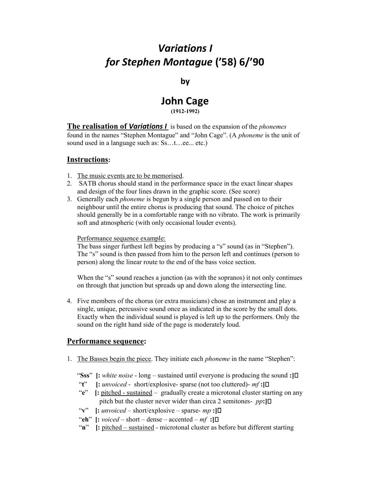# Variations I for Stephen Montague ('58) 6/'90

by

## John Cage (1912-1992)

**The realisation of Variations I** is based on the expansion of the *phonemes* found in the names "Stephen Montague" and "John Cage". (A phoneme is the unit of sound used in a language such as: Ss...t...ee... etc.)

## Instructions:

- 1. The music events are to be memorised.
- 2. SATB chorus should stand in the performance space in the exact linear shapes and design of the four lines drawn in the graphic score. (See score)
- 3. Generally each phoneme is begun by a single person and passed on to their neighbour until the entire chorus is producing that sound. The choice of pitches should generally be in a comfortable range with no vibrato. The work is primarily soft and atmospheric (with only occasional louder events).

#### Performance sequence example:

The bass singer furthest left begins by producing a "s" sound (as in "Stephen"). The "s" sound is then passed from him to the person left and continues (person to person) along the linear route to the end of the bass voice section.

When the "s" sound reaches a junction (as with the sopranos) it not only continues on through that junction but spreads up and down along the intersecting line.

4. Five members of the chorus (or extra musicians) chose an instrument and play a single, unique, percussive sound once as indicated in the score by the small dots. Exactly when the individual sound is played is left up to the performers. Only the sound on the right hand side of the page is moderately loud.

### Performance sequence:

- 1. The Basses begin the piece. They initiate each *phoneme* in the name "Stephen":
	- "Sss"  $\left\{ : \text{white noise long sustained until everyone is producing the sound : } \right\}$
	- "t"  $\vdots$  unvoiced short/explosive-sparse (not too cluttered)-  $mf$  :  $\Box$
	- "e" [: pitched sustained gradually create a microtonal cluster starting on any pitch but the cluster never wider than circa 2 semitones-  $pp:$
	- "v"  $\vdots$  unvoiced short/explosive sparse- mp : $\Box$
	- "eh"  $[:v oiced short dense accented mf : ]\Box$
	- "n" [: pitched sustained microtonal cluster as before but different starting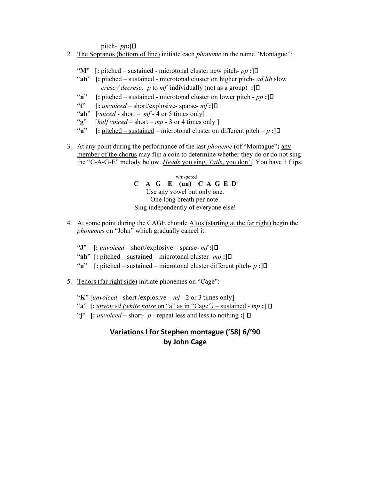pitch-  $pp:$ ] $\Box$ 

- 2. The Sopranos (bottom of line) initiate each *phoneme* in the name "Montague":
	- "M" [: pitched sustained microtonal cluster new pitch-  $pp$ :
	- "ah" [: pitched sustained microtonal cluster on higher pitch- *ad lib* slow *cresc / decresc: p to mf* individually (not as a group) : $\Box$
	- "n" [: pitched sustained microtonal cluster on lower pitch  $pp$  :  $\Box$
	- "t"  $[:unvoiced short/explosive-sparse-mf:]$
	- "ah"  $[voiced short mf 4 or 5 times only]$
	- "g"  $[halfvoiced short mp 3 or 4 times only ]$
	- "**u**" [: pitched sustained microtonal cluster on different pitch p : $\Box$
- 3. At any point during the performance of the last phoneme (of "Montague") any member of the chorus may flip a coin to determine whether they do or do not sing the "C-A-G-E" melody below. Heads you sing, Tails, you don't. You have 3 flips.

 whispered C A G E (un) C A G E D Use any vowel but only one. One long breath per note. Sing independently of everyone else!

- 4. At some point during the CAGE chorale Altos (starting at the far right) begin the phonemes on "John" which gradually cancel it.
	- "J"  $[:unvoiced short/explosive sparse mf:]$
	- "ah" [: pitched sustained microtonal cluster-  $mp$ :  $\Box$
	- "n"  $\left[$ : pitched sustained microtonal cluster different pitch- p : $\left[$ D
- 5. Tenors (far right side) initiate phonemes on "Cage":
	- "K" [*unvoiced* short /explosive  $mf 2$  or 3 times only]
	- "a"  $\left[ : \text{unvoiced} \text{ (white noise on "a" as in "Cage") } \text{sustained mp : } \right] \Box$
	- "j"  $\left[$ : *unvoiced* short- p repeat less and less to nothing : $\left[$   $\Box$

## Variations I for Stephen montague ('58) 6/'90 by John Cage